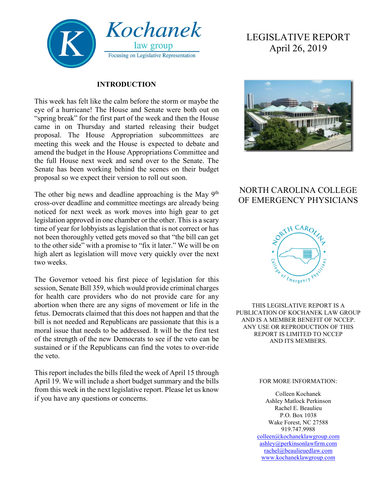

#### **INTRODUCTION**

This week has felt like the calm before the storm or maybe the eye of a hurricane! The House and Senate were both out on "spring break" for the first part of the week and then the House came in on Thursday and started releasing their budget proposal. The House Appropriation subcommittees are meeting this week and the House is expected to debate and amend the budget in the House Appropriations Committee and the full House next week and send over to the Senate. The Senate has been working behind the scenes on their budget proposal so we expect their version to roll out soon.

The other big news and deadline approaching is the May  $9<sup>th</sup>$ cross-over deadline and committee meetings are already being noticed for next week as work moves into high gear to get legislation approved in one chamber or the other. This is a scary time of year for lobbyists as legislation that is not correct or has not been thoroughly vetted gets moved so that "the bill can get to the other side" with a promise to "fix it later." We will be on high alert as legislation will move very quickly over the next two weeks.

The Governor vetoed his first piece of legislation for this session, Senate Bill 359, which would provide criminal charges for health care providers who do not provide care for any abortion when there are any signs of movement or life in the fetus. Democrats claimed that this does not happen and that the bill is not needed and Republicans are passionate that this is a moral issue that needs to be addressed. It will be the first test of the strength of the new Democrats to see if the veto can be sustained or if the Republicans can find the votes to over-ride the veto.

This report includes the bills filed the week of April 15 through April 19. We will include a short budget summary and the bills from this week in the next legislative report. Please let us know if you have any questions or concerns.

# LEGISLATIVE REPORT April 26, 2019



# NORTH CAROLINA COLLEGE OF EMERGENCY PHYSICIANS



THIS LEGISLATIVE REPORT IS A PUBLICATION OF KOCHANEK LAW GROUP AND IS A MEMBER BENEFIT OF NCCEP. ANY USE OR REPRODUCTION OF THIS REPORT IS LIMITED TO NCCEP AND ITS MEMBERS.

#### FOR MORE INFORMATION:

Colleen Kochanek Ashley Matlock Perkinson Rachel E. Beaulieu P.O. Box 1038 Wake Forest, NC 27588 919.747.9988 [colleen@kochaneklawgroup.com](mailto:colleen@kochaneklawgroup.com) [ashley@perkinsonlawfirm.com](mailto:ashley@perkinsonlawfirm.com) [rachel@beaulieuedlaw.com](mailto:rachel@beaulieuedlaw.com) [www.kochaneklawgroup.com](http://www.kochaneklawgroup.com/)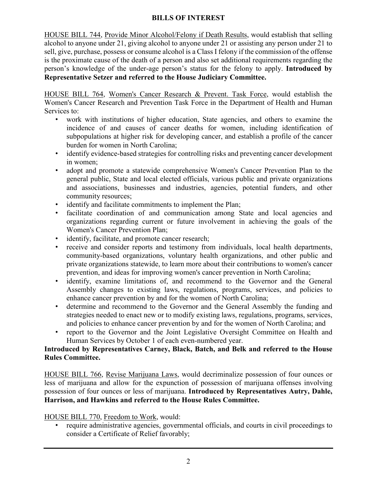#### **BILLS OF INTEREST**

HOUSE BILL 744, Provide Minor Alcohol/Felony if Death Results, would establish that selling alcohol to anyone under 21, giving alcohol to anyone under 21 or assisting any person under 21 to sell, give, purchase, possess or consume alcohol is a Class I felony if the commission of the offense is the proximate cause of the death of a person and also set additional requirements regarding the person's knowledge of the under-age person's status for the felony to apply. **Introduced by Representative Setzer and referred to the House Judiciary Committee.**

HOUSE BILL 764, Women's Cancer Research & Prevent. Task Force, would establish the Women's Cancer Research and Prevention Task Force in the Department of Health and Human Services to:

- work with institutions of higher education, State agencies, and others to examine the incidence of and causes of cancer deaths for women, including identification of subpopulations at higher risk for developing cancer, and establish a profile of the cancer burden for women in North Carolina;
- identify evidence-based strategies for controlling risks and preventing cancer development in women;
- adopt and promote a statewide comprehensive Women's Cancer Prevention Plan to the general public, State and local elected officials, various public and private organizations and associations, businesses and industries, agencies, potential funders, and other community resources;
- identify and facilitate commitments to implement the Plan;
- facilitate coordination of and communication among State and local agencies and organizations regarding current or future involvement in achieving the goals of the Women's Cancer Prevention Plan;
- identify, facilitate, and promote cancer research;
- receive and consider reports and testimony from individuals, local health departments, community-based organizations, voluntary health organizations, and other public and private organizations statewide, to learn more about their contributions to women's cancer prevention, and ideas for improving women's cancer prevention in North Carolina;
- identify, examine limitations of, and recommend to the Governor and the General Assembly changes to existing laws, regulations, programs, services, and policies to enhance cancer prevention by and for the women of North Carolina;
- determine and recommend to the Governor and the General Assembly the funding and strategies needed to enact new or to modify existing laws, regulations, programs, services, and policies to enhance cancer prevention by and for the women of North Carolina; and
- report to the Governor and the Joint Legislative Oversight Committee on Health and Human Services by October 1 of each even-numbered year.

# **Introduced by Representatives Carney, Black, Batch, and Belk and referred to the House Rules Committee.**

HOUSE BILL 766, Revise Marijuana Laws, would decriminalize possession of four ounces or less of marijuana and allow for the expunction of possession of marijuana offenses involving possession of four ounces or less of marijuana. **Introduced by Representatives Autry, Dahle, Harrison, and Hawkins and referred to the House Rules Committee.**

# HOUSE BILL 770, Freedom to Work, would:

• require administrative agencies, governmental officials, and courts in civil proceedings to consider a Certificate of Relief favorably;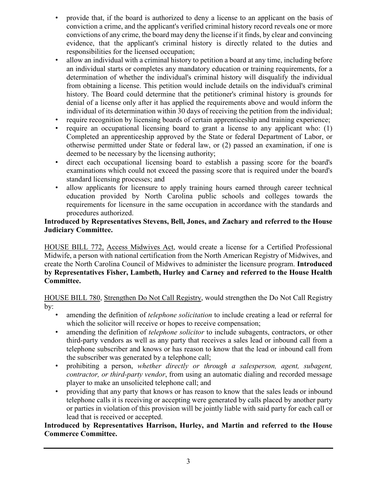- provide that, if the board is authorized to deny a license to an applicant on the basis of conviction a crime, and the applicant's verified criminal history record reveals one or more convictions of any crime, the board may deny the license if it finds, by clear and convincing evidence, that the applicant's criminal history is directly related to the duties and responsibilities for the licensed occupation;
- allow an individual with a criminal history to petition a board at any time, including before an individual starts or completes any mandatory education or training requirements, for a determination of whether the individual's criminal history will disqualify the individual from obtaining a license. This petition would include details on the individual's criminal history. The Board could determine that the petitioner's criminal history is grounds for denial of a license only after it has applied the requirements above and would inform the individual of its determination within 30 days of receiving the petition from the individual;
- require recognition by licensing boards of certain apprenticeship and training experience;
- require an occupational licensing board to grant a license to any applicant who: (1) Completed an apprenticeship approved by the State or federal Department of Labor, or otherwise permitted under State or federal law, or (2) passed an examination, if one is deemed to be necessary by the licensing authority;
- direct each occupational licensing board to establish a passing score for the board's examinations which could not exceed the passing score that is required under the board's standard licensing processes; and
- allow applicants for licensure to apply training hours earned through career technical education provided by North Carolina public schools and colleges towards the requirements for licensure in the same occupation in accordance with the standards and procedures authorized.

#### **Introduced by Representatives Stevens, Bell, Jones, and Zachary and referred to the House Judiciary Committee.**

HOUSE BILL 772, Access Midwives Act, would create a license for a Certified Professional Midwife, a person with national certification from the North American Registry of Midwives, and create the North Carolina Council of Midwives to administer the licensure program. **Introduced by Representatives Fisher, Lambeth, Hurley and Carney and referred to the House Health Committee.**

HOUSE BILL 780, Strengthen Do Not Call Registry, would strengthen the Do Not Call Registry by:

- amending the definition of *telephone solicitation* to include creating a lead or referral for which the solicitor will receive or hopes to receive compensation;
- amending the definition of *telephone solicitor* to include subagents, contractors, or other third-party vendors as well as any party that receives a sales lead or inbound call from a telephone subscriber and knows or has reason to know that the lead or inbound call from the subscriber was generated by a telephone call;
- prohibiting a person, *whether directly or through a salesperson, agent, subagent, contractor, or third-party vendor*, from using an automatic dialing and recorded message player to make an unsolicited telephone call; and
- providing that any party that knows or has reason to know that the sales leads or inbound telephone calls it is receiving or accepting were generated by calls placed by another party or parties in violation of this provision will be jointly liable with said party for each call or lead that is received or accepted.

#### **Introduced by Representatives Harrison, Hurley, and Martin and referred to the House Commerce Committee.**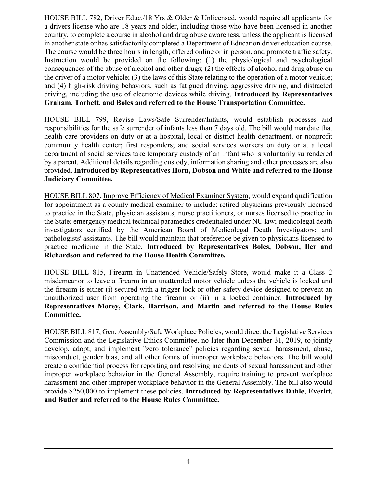HOUSE BILL 782, Driver Educ./18 Yrs & Older & Unlicensed, would require all applicants for a drivers license who are 18 years and older, including those who have been licensed in another country, to complete a course in alcohol and drug abuse awareness, unless the applicant is licensed in another state or has satisfactorily completed a Department of Education driver education course. The course would be three hours in length, offered online or in person, and promote traffic safety. Instruction would be provided on the following: (1) the physiological and psychological consequences of the abuse of alcohol and other drugs; (2) the effects of alcohol and drug abuse on the driver of a motor vehicle; (3) the laws of this State relating to the operation of a motor vehicle; and (4) high-risk driving behaviors, such as fatigued driving, aggressive driving, and distracted driving, including the use of electronic devices while driving. **Introduced by Representatives Graham, Torbett, and Boles and referred to the House Transportation Committee.**

HOUSE BILL 799, Revise Laws/Safe Surrender/Infants, would establish processes and responsibilities for the safe surrender of infants less than 7 days old. The bill would mandate that health care providers on duty or at a hospital, local or district health department, or nonprofit community health center; first responders; and social services workers on duty or at a local department of social services take temporary custody of an infant who is voluntarily surrendered by a parent. Additional details regarding custody, information sharing and other processes are also provided. **Introduced by Representatives Horn, Dobson and White and referred to the House Judiciary Committee.**

HOUSE BILL 807, Improve Efficiency of Medical Examiner System, would expand qualification for appointment as a county medical examiner to include: retired physicians previously licensed to practice in the State, physician assistants, nurse practitioners, or nurses licensed to practice in the State; emergency medical technical paramedics credentialed under NC law; medicolegal death investigators certified by the American Board of Medicolegal Death Investigators; and pathologists' assistants. The bill would maintain that preference be given to physicians licensed to practice medicine in the State. **Introduced by Representatives Boles, Dobson, Iler and Richardson and referred to the House Health Committee.**

HOUSE BILL 815, Firearm in Unattended Vehicle/Safely Store, would make it a Class 2 misdemeanor to leave a firearm in an unattended motor vehicle unless the vehicle is locked and the firearm is either (i) secured with a trigger lock or other safety device designed to prevent an unauthorized user from operating the firearm or (ii) in a locked container. **Introduced by Representatives Morey, Clark, Harrison, and Martin and referred to the House Rules Committee.**

HOUSE BILL 817, Gen. Assembly/Safe Workplace Policies, would direct the Legislative Services Commission and the Legislative Ethics Committee, no later than December 31, 2019, to jointly develop, adopt, and implement "zero tolerance" policies regarding sexual harassment, abuse, misconduct, gender bias, and all other forms of improper workplace behaviors. The bill would create a confidential process for reporting and resolving incidents of sexual harassment and other improper workplace behavior in the General Assembly, require training to prevent workplace harassment and other improper workplace behavior in the General Assembly. The bill also would provide \$250,000 to implement these policies. **Introduced by Representatives Dahle, Everitt, and Butler and referred to the House Rules Committee.**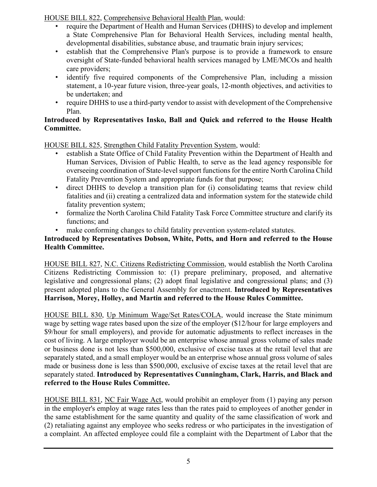HOUSE BILL 822, Comprehensive Behavioral Health Plan, would:

- require the Department of Health and Human Services (DHHS) to develop and implement a State Comprehensive Plan for Behavioral Health Services, including mental health, developmental disabilities, substance abuse, and traumatic brain injury services;
- establish that the Comprehensive Plan's purpose is to provide a framework to ensure oversight of State-funded behavioral health services managed by LME/MCOs and health care providers;
- identify five required components of the Comprehensive Plan, including a mission statement, a 10-year future vision, three-year goals, 12-month objectives, and activities to be undertaken; and
- require DHHS to use a third-party vendor to assist with development of the Comprehensive Plan.

# **Introduced by Representatives Insko, Ball and Quick and referred to the House Health Committee.**

HOUSE BILL 825, Strengthen Child Fatality Prevention System, would:

- establish a State Office of Child Fatality Prevention within the Department of Health and Human Services, Division of Public Health, to serve as the lead agency responsible for overseeing coordination of State-level support functions for the entire North Carolina Child Fatality Prevention System and appropriate funds for that purpose;
- direct DHHS to develop a transition plan for (i) consolidating teams that review child fatalities and (ii) creating a centralized data and information system for the statewide child fatality prevention system;
- formalize the North Carolina Child Fatality Task Force Committee structure and clarify its functions; and
- make conforming changes to child fatality prevention system-related statutes.

# **Introduced by Representatives Dobson, White, Potts, and Horn and referred to the House Health Committee.**

HOUSE BILL 827, N.C. Citizens Redistricting Commission, would establish the North Carolina Citizens Redistricting Commission to: (1) prepare preliminary, proposed, and alternative legislative and congressional plans; (2) adopt final legislative and congressional plans; and (3) present adopted plans to the General Assembly for enactment. **Introduced by Representatives Harrison, Morey, Holley, and Martin and referred to the House Rules Committee.**

HOUSE BILL 830, Up Minimum Wage/Set Rates/COLA, would increase the State minimum wage by setting wage rates based upon the size of the employer (\$12/hour for large employers and \$9/hour for small employers), and provide for automatic adjustments to reflect increases in the cost of living. A large employer would be an enterprise whose annual gross volume of sales made or business done is not less than \$500,000, exclusive of excise taxes at the retail level that are separately stated, and a small employer would be an enterprise whose annual gross volume of sales made or business done is less than \$500,000, exclusive of excise taxes at the retail level that are separately stated. **Introduced by Representatives Cunningham, Clark, Harris, and Black and referred to the House Rules Committee.**

HOUSE BILL 831, NC Fair Wage Act, would prohibit an employer from (1) paying any person in the employer's employ at wage rates less than the rates paid to employees of another gender in the same establishment for the same quantity and quality of the same classification of work and (2) retaliating against any employee who seeks redress or who participates in the investigation of a complaint. An affected employee could file a complaint with the Department of Labor that the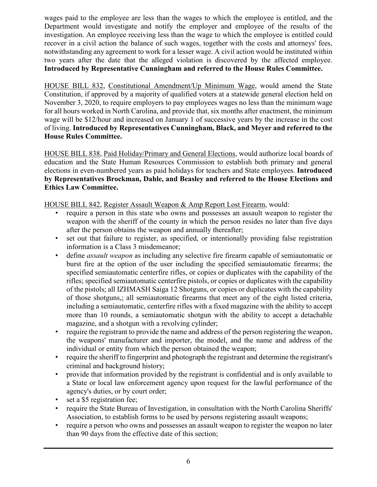wages paid to the employee are less than the wages to which the employee is entitled, and the Department would investigate and notify the employer and employee of the results of the investigation. An employee receiving less than the wage to which the employee is entitled could recover in a civil action the balance of such wages, together with the costs and attorneys' fees, notwithstanding any agreement to work for a lesser wage. A civil action would be instituted within two years after the date that the alleged violation is discovered by the affected employee. **Introduced by Representative Cunningham and referred to the House Rules Committee.**

HOUSE BILL 832, Constitutional Amendment/Up Minimum Wage, would amend the State Constitution, if approved by a majority of qualified voters at a statewide general election held on November 3, 2020, to require employers to pay employees wages no less than the minimum wage for all hours worked in North Carolina, and provide that, six months after enactment, the minimum wage will be \$12/hour and increased on January 1 of successive years by the increase in the cost of living. **Introduced by Representatives Cunningham, Black, and Meyer and referred to the House Rules Committee.**

HOUSE BILL 838, Paid Holiday/Primary and General Elections, would authorize local boards of education and the State Human Resources Commission to establish both primary and general elections in even-numbered years as paid holidays for teachers and State employees. **Introduced by Representatives Brockman, Dahle, and Beasley and referred to the House Elections and Ethics Law Committee.**

HOUSE BILL 842, Register Assault Weapon & Amp Report Lost Firearm, would:

- require a person in this state who owns and possesses an assault weapon to register the weapon with the sheriff of the county in which the person resides no later than five days after the person obtains the weapon and annually thereafter;
- set out that failure to register, as specified, or intentionally providing false registration information is a Class 3 misdemeanor;
- define *assault weapon* as including any selective fire firearm capable of semiautomatic or burst fire at the option of the user including the specified semiautomatic firearms; the specified semiautomatic centerfire rifles, or copies or duplicates with the capability of the rifles; specified semiautomatic centerfire pistols, or copies or duplicates with the capability of the pistols; all IZHMASH Saiga 12 Shotguns, or copies or duplicates with the capability of those shotguns,; all semiautomatic firearms that meet any of the eight listed criteria, including a semiautomatic, centerfire rifles with a fixed magazine with the ability to accept more than 10 rounds, a semiautomatic shotgun with the ability to accept a detachable magazine, and a shotgun with a revolving cylinder;
- require the registrant to provide the name and address of the person registering the weapon, the weapons' manufacturer and importer, the model, and the name and address of the individual or entity from which the person obtained the weapon;
- require the sheriff to fingerprint and photograph the registrant and determine the registrant's criminal and background history;
- provide that information provided by the registrant is confidential and is only available to a State or local law enforcement agency upon request for the lawful performance of the agency's duties, or by court order;
- set a \$5 registration fee;
- require the State Bureau of Investigation, in consultation with the North Carolina Sheriffs' Association, to establish forms to be used by persons registering assault weapons;
- require a person who owns and possesses an assault weapon to register the weapon no later than 90 days from the effective date of this section;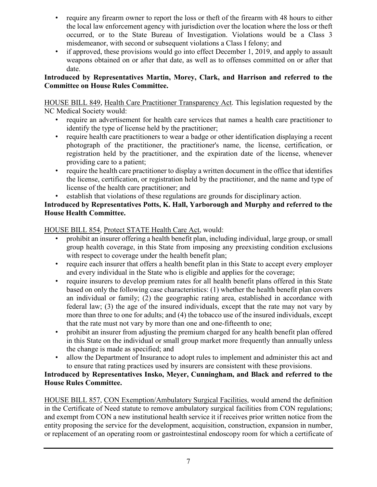- require any firearm owner to report the loss or theft of the firearm with 48 hours to either the local law enforcement agency with jurisdiction over the location where the loss or theft occurred, or to the State Bureau of Investigation. Violations would be a Class 3 misdemeanor, with second or subsequent violations a Class I felony; and
- if approved, these provisions would go into effect December 1, 2019, and apply to assault weapons obtained on or after that date, as well as to offenses committed on or after that date.

#### **Introduced by Representatives Martin, Morey, Clark, and Harrison and referred to the Committee on House Rules Committee.**

HOUSE BILL 849, Health Care Practitioner Transparency Act. This legislation requested by the NC Medical Society would:

- require an advertisement for health care services that names a health care practitioner to identify the type of license held by the practitioner;
- require health care practitioners to wear a badge or other identification displaying a recent photograph of the practitioner, the practitioner's name, the license, certification, or registration held by the practitioner, and the expiration date of the license, whenever providing care to a patient;
- require the health care practitioner to display a written document in the office that identifies the license, certification, or registration held by the practitioner, and the name and type of license of the health care practitioner; and
- establish that violations of these regulations are grounds for disciplinary action.

#### **Introduced by Representatives Potts, K. Hall, Yarborough and Murphy and referred to the House Health Committee.**

# HOUSE BILL 854, Protect STATE Health Care Act, would:

- prohibit an insurer offering a health benefit plan, including individual, large group, or small group health coverage, in this State from imposing any preexisting condition exclusions with respect to coverage under the health benefit plan;
- require each insurer that offers a health benefit plan in this State to accept every employer and every individual in the State who is eligible and applies for the coverage;
- require insurers to develop premium rates for all health benefit plans offered in this State based on only the following case characteristics: (1) whether the health benefit plan covers an individual or family; (2) the geographic rating area, established in accordance with federal law; (3) the age of the insured individuals, except that the rate may not vary by more than three to one for adults; and (4) the tobacco use of the insured individuals, except that the rate must not vary by more than one and one-fifteenth to one;
- prohibit an insurer from adjusting the premium charged for any health benefit plan offered in this State on the individual or small group market more frequently than annually unless the change is made as specified; and
- allow the Department of Insurance to adopt rules to implement and administer this act and to ensure that rating practices used by insurers are consistent with these provisions.

# **Introduced by Representatives Insko, Meyer, Cunningham, and Black and referred to the House Rules Committee.**

HOUSE BILL 857, CON Exemption/Ambulatory Surgical Facilities, would amend the definition in the Certificate of Need statute to remove ambulatory surgical facilities from CON regulations; and exempt from CON a new institutional health service it if receives prior written notice from the entity proposing the service for the development, acquisition, construction, expansion in number, or replacement of an operating room or gastrointestinal endoscopy room for which a certificate of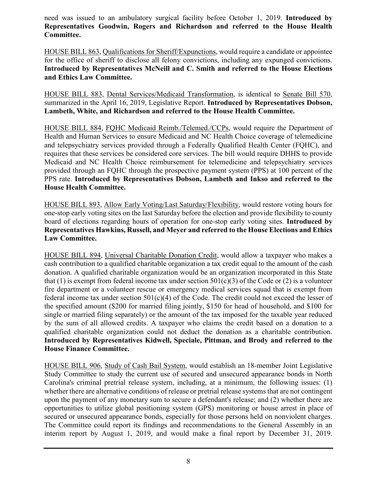need was issued to an ambulatory surgical facility before October 1, 2019. **Introduced by Representatives Goodwin, Rogers and Richardson and referred to the House Health Committee.**

HOUSE BILL 863, Qualifications for Sheriff/Expunctions, would require a candidate or appointee for the office of sheriff to disclose all felony convictions, including any expunged convictions. **Introduced by Representatives McNeill and C. Smith and referred to the House Elections and Ethics Law Committee.**

HOUSE BILL 883, Dental Services/Medicaid Transformation, is identical to Senate Bill 570, summarized in the April 16, 2019, Legislative Report. **Introduced by Representatives Dobson, Lambeth, White, and Richardson and referred to the House Health Committee.**

HOUSE BILL 884, FQHC Medicaid Reimb./Telemed./CCPs, would require the Department of Health and Human Services to ensure Medicaid and NC Health Choice coverage of telemedicine and telepsychiatry services provided through a Federally Qualified Health Center (FQHC), and requires that these services be considered core services. The bill would require DHHS to provide Medicaid and NC Health Choice reimbursement for telemedicine and telepsychiatry services provided through an FQHC through the prospective payment system (PPS) at 100 percent of the PPS rate. **Introduced by Representatives Dobson, Lambeth and Inkso and referred to the House Health Committee.**

HOUSE BILL 893, Allow Early Voting/Last Saturday/Flexibility, would restore voting hours for one-stop early voting sites on the last Saturday before the election and provide flexibility to county board of elections regarding hours of operation for one-stop early voting sites. **Introduced by Representatives Hawkins, Russell, and Meyer and referred to the House Elections and Ethics Law Committee.**

HOUSE BILL 894, Universal Charitable Donation Credit, would allow a taxpayer who makes a cash contribution to a qualified charitable organization a tax credit equal to the amount of the cash donation. A qualified charitable organization would be an organization incorporated in this State that (1) is exempt from federal income tax under section  $501(c)(3)$  of the Code or (2) is a volunteer fire department or a volunteer rescue or emergency medical services squad that is exempt from federal income tax under section 501(c)(4) of the Code. The credit could not exceed the lesser of the specified amount (\$200 for married filing jointly, \$150 for head of household, and \$100 for single or married filing separately) or the amount of the tax imposed for the taxable year reduced by the sum of all allowed credits. A taxpayer who claims the credit based on a donation to a qualified charitable organization could not deduct the donation as a charitable contribution. **Introduced by Representatives Kidwell, Speciale, Pittman, and Brody and referred to the House Finance Committee.**

HOUSE BILL 906, Study of Cash Bail System, would establish an 18-member Joint Legislative Study Committee to study the current use of secured and unsecured appearance bonds in North Carolina's criminal pretrial release system, including, at a minimum, the following issues: (1) whether there are alternative conditions of release or pretrial release systems that are not contingent upon the payment of any monetary sum to secure a defendant's release; and (2) whether there are opportunities to utilize global positioning system (GPS) monitoring or house arrest in place of secured or unsecured appearance bonds, especially for those persons held on nonviolent charges. The Committee could report its findings and recommendations to the General Assembly in an interim report by August 1, 2019, and would make a final report by December 31, 2019.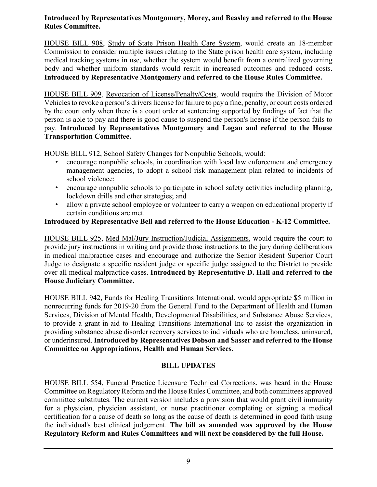#### **Introduced by Representatives Montgomery, Morey, and Beasley and referred to the House Rules Committee.**

HOUSE BILL 908, Study of State Prison Health Care System, would create an 18-member Commission to consider multiple issues relating to the State prison health care system, including medical tracking systems in use, whether the system would benefit from a centralized governing body and whether uniform standards would result in increased outcomes and reduced costs. **Introduced by Representative Montgomery and referred to the House Rules Committee.**

HOUSE BILL 909, Revocation of License/Penalty/Costs, would require the Division of Motor Vehicles to revoke a person's drivers license for failure to pay a fine, penalty, or court costs ordered by the court only when there is a court order at sentencing supported by findings of fact that the person is able to pay and there is good cause to suspend the person's license if the person fails to pay. **Introduced by Representatives Montgomery and Logan and referred to the House Transportation Committee.**

HOUSE BILL 912, School Safety Changes for Nonpublic Schools, would:

- encourage nonpublic schools, in coordination with local law enforcement and emergency management agencies, to adopt a school risk management plan related to incidents of school violence;
- encourage nonpublic schools to participate in school safety activities including planning, lockdown drills and other strategies; and
- allow a private school employee or volunteer to carry a weapon on educational property if certain conditions are met.

# **Introduced by Representative Bell and referred to the House Education - K-12 Committee.**

HOUSE BILL 925, Med Mal/Jury Instruction/Judicial Assignments, would require the court to provide jury instructions in writing and provide those instructions to the jury during deliberations in medical malpractice cases and encourage and authorize the Senior Resident Superior Court Judge to designate a specific resident judge or specific judge assigned to the District to preside over all medical malpractice cases. **Introduced by Representative D. Hall and referred to the House Judiciary Committee.**

HOUSE BILL 942, Funds for Healing Transitions International, would appropriate \$5 million in nonrecurring funds for 2019-20 from the General Fund to the Department of Health and Human Services, Division of Mental Health, Developmental Disabilities, and Substance Abuse Services, to provide a grant-in-aid to Healing Transitions International Inc to assist the organization in providing substance abuse disorder recovery services to individuals who are homeless, uninsured, or underinsured. **Introduced by Representatives Dobson and Sasser and referred to the House Committee on Appropriations, Health and Human Services.**

# **BILL UPDATES**

HOUSE BILL 554, Funeral Practice Licensure Technical Corrections, was heard in the House Committee on Regulatory Reform and the House Rules Committee, and both committees approved committee substitutes. The current version includes a provision that would grant civil immunity for a physician, physician assistant, or nurse practitioner completing or signing a medical certification for a cause of death so long as the cause of death is determined in good faith using the individual's best clinical judgement. **The bill as amended was approved by the House Regulatory Reform and Rules Committees and will next be considered by the full House.**